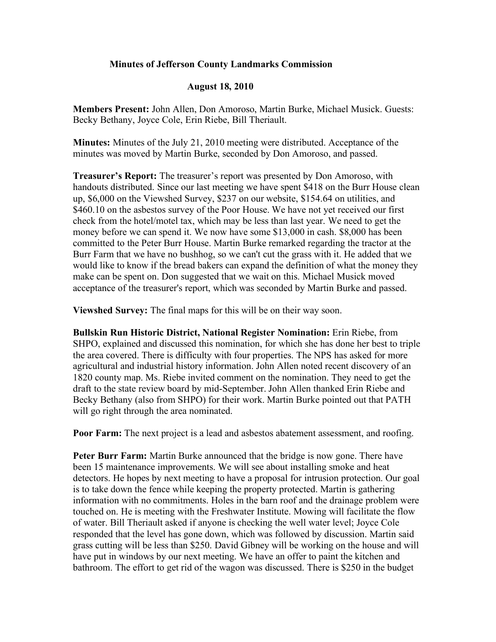## **Minutes of Jefferson County Landmarks Commission**

## **August 18, 2010**

**Members Present:** John Allen, Don Amoroso, Martin Burke, Michael Musick. Guests: Becky Bethany, Joyce Cole, Erin Riebe, Bill Theriault.

**Minutes:** Minutes of the July 21, 2010 meeting were distributed. Acceptance of the minutes was moved by Martin Burke, seconded by Don Amoroso, and passed.

**Treasurer's Report:** The treasurer's report was presented by Don Amoroso, with handouts distributed. Since our last meeting we have spent \$418 on the Burr House clean up, \$6,000 on the Viewshed Survey, \$237 on our website, \$154.64 on utilities, and \$460.10 on the asbestos survey of the Poor House. We have not yet received our first check from the hotel/motel tax, which may be less than last year. We need to get the money before we can spend it. We now have some \$13,000 in cash. \$8,000 has been committed to the Peter Burr House. Martin Burke remarked regarding the tractor at the Burr Farm that we have no bushhog, so we can't cut the grass with it. He added that we would like to know if the bread bakers can expand the definition of what the money they make can be spent on. Don suggested that we wait on this. Michael Musick moved acceptance of the treasurer's report, which was seconded by Martin Burke and passed.

**Viewshed Survey:** The final maps for this will be on their way soon.

**Bullskin Run Historic District, National Register Nomination:** Erin Riebe, from SHPO, explained and discussed this nomination, for which she has done her best to triple the area covered. There is difficulty with four properties. The NPS has asked for more agricultural and industrial history information. John Allen noted recent discovery of an 1820 county map. Ms. Riebe invited comment on the nomination. They need to get the draft to the state review board by mid-September. John Allen thanked Erin Riebe and Becky Bethany (also from SHPO) for their work. Martin Burke pointed out that PATH will go right through the area nominated.

**Poor Farm:** The next project is a lead and asbestos abatement assessment, and roofing.

**Peter Burr Farm:** Martin Burke announced that the bridge is now gone. There have been 15 maintenance improvements. We will see about installing smoke and heat detectors. He hopes by next meeting to have a proposal for intrusion protection. Our goal is to take down the fence while keeping the property protected. Martin is gathering information with no commitments. Holes in the barn roof and the drainage problem were touched on. He is meeting with the Freshwater Institute. Mowing will facilitate the flow of water. Bill Theriault asked if anyone is checking the well water level; Joyce Cole responded that the level has gone down, which was followed by discussion. Martin said grass cutting will be less than \$250. David Gibney will be working on the house and will have put in windows by our next meeting. We have an offer to paint the kitchen and bathroom. The effort to get rid of the wagon was discussed. There is \$250 in the budget